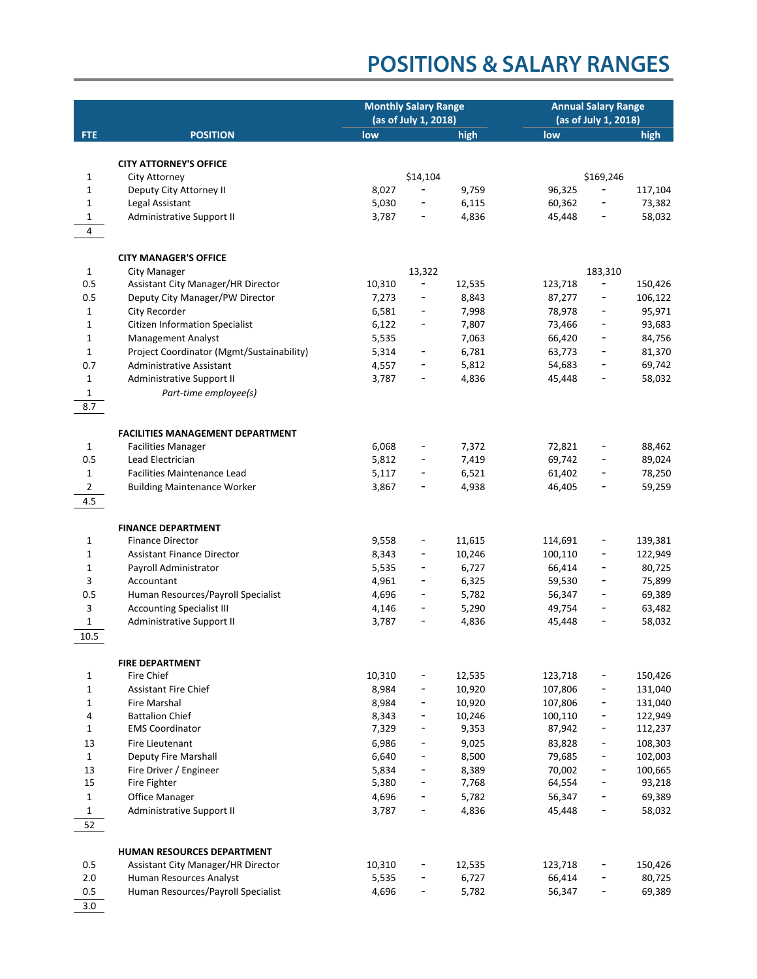|                     |                                                                  | <b>Monthly Salary Range</b><br>(as of July 1, 2018) |                              |                | <b>Annual Salary Range</b><br>(as of July 1, 2018) |                              |                  |
|---------------------|------------------------------------------------------------------|-----------------------------------------------------|------------------------------|----------------|----------------------------------------------------|------------------------------|------------------|
| <b>FTE</b>          | <b>POSITION</b>                                                  | low                                                 |                              | high           | low                                                |                              | high             |
|                     |                                                                  |                                                     |                              |                |                                                    |                              |                  |
|                     | <b>CITY ATTORNEY'S OFFICE</b>                                    |                                                     |                              |                |                                                    |                              |                  |
| 1                   | City Attorney                                                    |                                                     | \$14,104                     |                |                                                    | \$169,246                    |                  |
| $\mathbf 1$         | Deputy City Attorney II                                          | 8,027                                               |                              | 9,759          | 96,325                                             |                              | 117,104          |
| $\mathbf{1}$        | Legal Assistant                                                  | 5,030                                               |                              | 6,115          | 60,362                                             | $\overline{\phantom{0}}$     | 73,382           |
| $\mathbf{1}$        | Administrative Support II                                        | 3,787                                               | $\qquad \qquad -$            | 4,836          | 45,448                                             | $\overline{\phantom{0}}$     | 58,032           |
| 4                   |                                                                  |                                                     |                              |                |                                                    |                              |                  |
|                     |                                                                  |                                                     |                              |                |                                                    |                              |                  |
|                     | <b>CITY MANAGER'S OFFICE</b>                                     |                                                     |                              |                |                                                    |                              |                  |
| $\mathbf{1}$<br>0.5 | City Manager<br>Assistant City Manager/HR Director               | 10,310                                              | 13,322<br>$\qquad \qquad -$  | 12,535         | 123,718                                            | 183,310<br>$\qquad \qquad -$ | 150,426          |
| 0.5                 | Deputy City Manager/PW Director                                  | 7,273                                               | $\qquad \qquad -$            | 8,843          | 87,277                                             | $\overline{\phantom{0}}$     | 106,122          |
| 1                   | City Recorder                                                    | 6,581                                               | -                            | 7,998          | 78,978                                             |                              | 95,971           |
| $\mathbf{1}$        | <b>Citizen Information Specialist</b>                            | 6,122                                               | -                            | 7,807          | 73,466                                             |                              | 93,683           |
| $\mathbf{1}$        | Management Analyst                                               | 5,535                                               |                              | 7,063          | 66,420                                             | -                            | 84,756           |
| $\mathbf{1}$        | Project Coordinator (Mgmt/Sustainability)                        | 5,314                                               | $\overline{a}$               | 6,781          | 63,773                                             | -                            | 81,370           |
| 0.7                 | Administrative Assistant                                         | 4,557                                               | -                            | 5,812          | 54,683                                             | $\overline{\phantom{a}}$     | 69,742           |
| $\mathbf{1}$        | Administrative Support II                                        | 3,787                                               | -                            | 4,836          | 45,448                                             |                              | 58,032           |
| $\mathbf{1}$        | Part-time employee(s)                                            |                                                     |                              |                |                                                    |                              |                  |
| 8.7                 |                                                                  |                                                     |                              |                |                                                    |                              |                  |
|                     |                                                                  |                                                     |                              |                |                                                    |                              |                  |
|                     | <b>FACILITIES MANAGEMENT DEPARTMENT</b>                          |                                                     |                              |                |                                                    |                              |                  |
| $\mathbf{1}$        | <b>Facilities Manager</b>                                        | 6,068                                               |                              | 7,372          | 72,821                                             |                              | 88,462           |
| 0.5<br>$\mathbf{1}$ | Lead Electrician<br><b>Facilities Maintenance Lead</b>           | 5,812<br>5,117                                      | $\overline{a}$               | 7,419<br>6,521 | 69,742<br>61,402                                   | $\overline{\phantom{a}}$     | 89,024<br>78,250 |
| $\overline{2}$      | <b>Building Maintenance Worker</b>                               | 3,867                                               | $\overline{a}$               | 4,938          | 46,405                                             | $\overline{\phantom{a}}$     | 59,259           |
| 4.5                 |                                                                  |                                                     |                              |                |                                                    |                              |                  |
|                     |                                                                  |                                                     |                              |                |                                                    |                              |                  |
|                     | <b>FINANCE DEPARTMENT</b>                                        |                                                     |                              |                |                                                    |                              |                  |
| 1                   | <b>Finance Director</b>                                          | 9,558                                               |                              | 11,615         | 114,691                                            |                              | 139,381          |
| $\mathbf{1}$        | <b>Assistant Finance Director</b>                                | 8,343                                               | $\qquad \qquad -$            | 10,246         | 100,110                                            | $\overline{\phantom{0}}$     | 122,949          |
| $\mathbf{1}$        | Payroll Administrator                                            | 5,535                                               | $\overline{\phantom{a}}$     | 6,727          | 66,414                                             | $\overline{\phantom{a}}$     | 80,725           |
| 3                   | Accountant                                                       | 4,961                                               | -                            | 6,325          | 59,530                                             | $\overline{\phantom{a}}$     | 75,899           |
| 0.5                 | Human Resources/Payroll Specialist                               | 4,696                                               | -                            | 5,782          | 56,347                                             | $\qquad \qquad \blacksquare$ | 69,389           |
| 3                   | <b>Accounting Specialist III</b>                                 | 4,146                                               | $\overline{a}$               | 5,290          | 49,754                                             |                              | 63,482           |
| $\mathbf 1$         | Administrative Support II                                        | 3,787                                               | -                            | 4,836          | 45,448                                             |                              | 58,032           |
| 10.5                |                                                                  |                                                     |                              |                |                                                    |                              |                  |
|                     | <b>FIRE DEPARTMENT</b>                                           |                                                     |                              |                |                                                    |                              |                  |
| 1                   | Fire Chief                                                       | 10,310                                              |                              | 12,535         | 123,718                                            |                              | 150,426          |
| $\mathbf 1$         | <b>Assistant Fire Chief</b>                                      | 8,984                                               |                              | 10,920         | 107,806                                            |                              | 131,040          |
| $\mathbf 1$         | Fire Marshal                                                     | 8,984                                               | $\overline{\phantom{0}}$     | 10,920         | 107,806                                            | -                            | 131,040          |
| 4                   | <b>Battalion Chief</b>                                           | 8,343                                               | $\overline{\phantom{0}}$     | 10,246         | 100,110                                            | $\qquad \qquad \blacksquare$ | 122,949          |
| 1                   | <b>EMS Coordinator</b>                                           | 7,329                                               | $\overline{\phantom{0}}$     | 9,353          | 87,942                                             | -                            | 112,237          |
| 13                  | Fire Lieutenant                                                  | 6,986                                               | -                            | 9,025          | 83,828                                             | -                            | 108,303          |
| $\mathbf{1}$        | Deputy Fire Marshall                                             | 6,640                                               | $\overline{a}$               | 8,500          | 79,685                                             | -                            | 102,003          |
| 13                  | Fire Driver / Engineer                                           | 5,834                                               |                              | 8,389          | 70,002                                             | -                            | 100,665          |
| 15                  | Fire Fighter                                                     | 5,380                                               | $\qquad \qquad \blacksquare$ | 7,768          | 64,554                                             | $\qquad \qquad \blacksquare$ | 93,218           |
| $\mathbf{1}$        | Office Manager                                                   | 4,696                                               | $\overline{\phantom{0}}$     | 5,782          | 56,347                                             | $\overline{\phantom{a}}$     | 69,389           |
| $\mathbf{1}$        | Administrative Support II                                        | 3,787                                               | $\overline{\phantom{0}}$     | 4,836          | 45,448                                             | $\qquad \qquad \blacksquare$ | 58,032           |
| 52                  |                                                                  |                                                     |                              |                |                                                    |                              |                  |
|                     |                                                                  |                                                     |                              |                |                                                    |                              |                  |
| 0.5                 | HUMAN RESOURCES DEPARTMENT<br>Assistant City Manager/HR Director | 10,310                                              |                              | 12,535         | 123,718                                            |                              | 150,426          |
| 2.0                 | Human Resources Analyst                                          | 5,535                                               |                              | 6,727          | 66,414                                             |                              | 80,725           |
| 0.5                 | Human Resources/Payroll Specialist                               | 4,696                                               |                              | 5,782          | 56,347                                             |                              | 69,389           |
| 3.0                 |                                                                  |                                                     |                              |                |                                                    |                              |                  |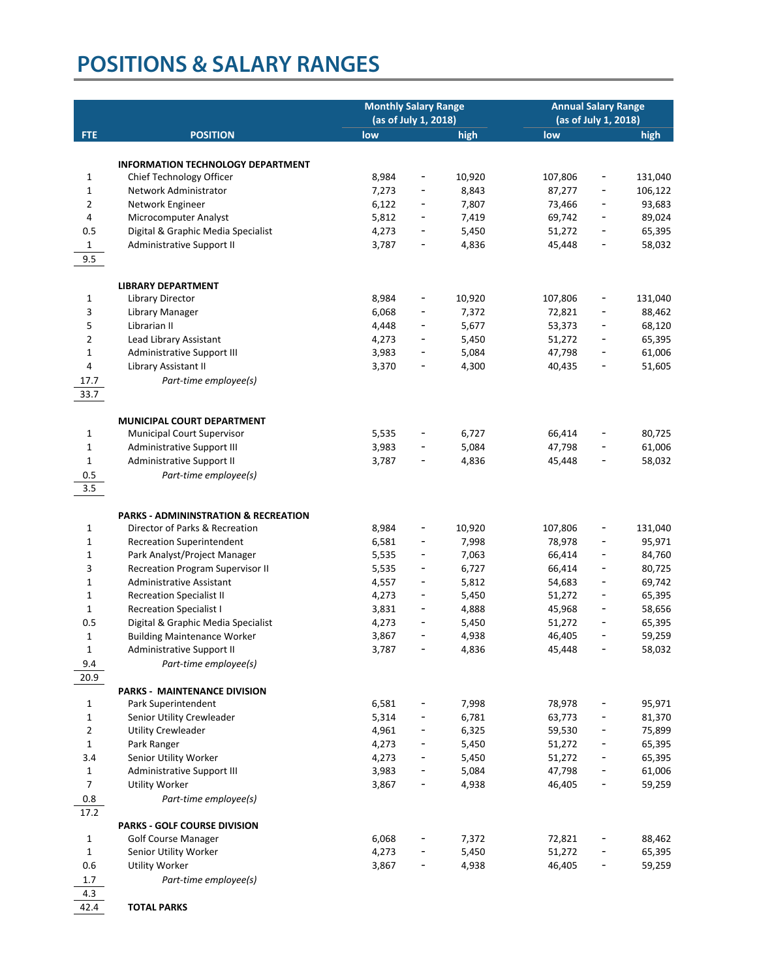|                   |                                                          | <b>Monthly Salary Range</b><br>(as of July 1, 2018) |                              | <b>Annual Salary Range</b><br>(as of July 1, 2018) |                  |                              |                  |
|-------------------|----------------------------------------------------------|-----------------------------------------------------|------------------------------|----------------------------------------------------|------------------|------------------------------|------------------|
| <b>FTE</b>        | <b>POSITION</b>                                          | low                                                 |                              | high                                               | low              |                              | high             |
|                   |                                                          |                                                     |                              |                                                    |                  |                              |                  |
|                   | <b>INFORMATION TECHNOLOGY DEPARTMENT</b>                 |                                                     |                              |                                                    |                  |                              |                  |
| 1                 | Chief Technology Officer                                 | 8,984                                               | $\overline{\phantom{0}}$     | 10,920                                             | 107,806          |                              | 131,040          |
| $\mathbf 1$       | Network Administrator                                    | 7,273                                               | $\overline{\phantom{0}}$     | 8,843                                              | 87,277           | $\qquad \qquad \blacksquare$ | 106,122          |
| $\overline{2}$    | Network Engineer                                         | 6,122                                               | $\overline{\phantom{0}}$     | 7,807                                              | 73,466           | $\overline{\phantom{a}}$     | 93,683           |
| 4                 | Microcomputer Analyst                                    | 5,812                                               | $\overline{\phantom{0}}$     | 7,419                                              | 69,742           |                              | 89,024           |
| 0.5               | Digital & Graphic Media Specialist                       | 4,273                                               | -                            | 5,450                                              | 51,272           |                              | 65,395           |
| $\mathbf{1}$      | Administrative Support II                                | 3,787                                               | -                            | 4,836                                              | 45,448           |                              | 58,032           |
| 9.5               |                                                          |                                                     |                              |                                                    |                  |                              |                  |
|                   |                                                          |                                                     |                              |                                                    |                  |                              |                  |
|                   | <b>LIBRARY DEPARTMENT</b>                                |                                                     |                              |                                                    |                  |                              |                  |
| 1                 | Library Director                                         | 8,984                                               | -                            | 10,920                                             | 107,806          | -                            | 131,040          |
| 3                 | Library Manager                                          | 6,068                                               | -                            | 7,372                                              | 72,821           |                              | 88,462           |
| 5                 | Librarian II                                             | 4,448                                               | $\overline{\phantom{0}}$     | 5,677                                              | 53,373           | -                            | 68,120           |
| $\overline{2}$    | Lead Library Assistant                                   | 4,273                                               | -                            | 5,450                                              | 51,272           | -                            | 65,395           |
| $\mathbf 1$       | Administrative Support III                               | 3,983                                               | -                            | 5,084                                              | 47,798           | -                            | 61,006           |
| 4                 | Library Assistant II                                     | 3,370                                               | -                            | 4,300                                              | 40,435           | -                            | 51,605           |
| 17.7              | Part-time employee(s)                                    |                                                     |                              |                                                    |                  |                              |                  |
| 33.7              |                                                          |                                                     |                              |                                                    |                  |                              |                  |
|                   |                                                          |                                                     |                              |                                                    |                  |                              |                  |
| $\mathbf{1}$      | <b>MUNICIPAL COURT DEPARTMENT</b>                        | 5,535                                               | -                            | 6,727                                              | 66,414           |                              | 80,725           |
| $\mathbf 1$       | Municipal Court Supervisor<br>Administrative Support III | 3,983                                               | -                            | 5,084                                              | 47,798           |                              | 61,006           |
| $\mathbf{1}$      | Administrative Support II                                | 3,787                                               | $\overline{\phantom{0}}$     | 4,836                                              | 45,448           |                              | 58,032           |
| 0.5               | Part-time employee(s)                                    |                                                     |                              |                                                    |                  |                              |                  |
| 3.5               |                                                          |                                                     |                              |                                                    |                  |                              |                  |
|                   |                                                          |                                                     |                              |                                                    |                  |                              |                  |
|                   | <b>PARKS - ADMININSTRATION &amp; RECREATION</b>          |                                                     |                              |                                                    |                  |                              |                  |
| 1                 | Director of Parks & Recreation                           | 8,984                                               | -                            | 10,920                                             | 107,806          |                              | 131,040          |
| $\mathbf 1$       | <b>Recreation Superintendent</b>                         | 6,581                                               | -                            | 7,998                                              | 78,978           |                              | 95,971           |
| $\mathbf 1$       | Park Analyst/Project Manager                             | 5,535                                               | $\overline{\phantom{0}}$     | 7,063                                              | 66,414           | -                            | 84,760           |
| 3                 | Recreation Program Supervisor II                         | 5,535                                               | $\qquad \qquad \blacksquare$ | 6,727                                              | 66,414           | $\qquad \qquad \blacksquare$ | 80,725           |
| $\mathbf 1$       | <b>Administrative Assistant</b>                          | 4,557                                               | -                            | 5,812                                              | 54,683           | $\overline{\phantom{a}}$     | 69,742           |
| 1                 | <b>Recreation Specialist II</b>                          | 4,273                                               | -                            | 5,450                                              | 51,272           |                              | 65,395           |
| 1                 | <b>Recreation Specialist I</b>                           | 3,831                                               | $\overline{\phantom{0}}$     | 4,888                                              | 45,968           |                              | 58,656           |
| 0.5               | Digital & Graphic Media Specialist                       | 4,273                                               |                              | 5,450                                              | 51,272           |                              | 65,395           |
| $\mathbf{1}$      | <b>Building Maintenance Worker</b>                       | 3,867                                               | $\qquad \qquad -$            | 4,938                                              | 46,405           |                              | 59,259           |
| 1                 | Administrative Support II                                | 3,787                                               |                              | 4,836                                              | 45,448           |                              | 58,032           |
| 9.4               | Part-time employee(s)                                    |                                                     |                              |                                                    |                  |                              |                  |
| 20.9              |                                                          |                                                     |                              |                                                    |                  |                              |                  |
|                   | <b>PARKS - MAINTENANCE DIVISION</b>                      |                                                     |                              |                                                    |                  |                              |                  |
| $\mathbf{1}$      | Park Superintendent                                      | 6,581                                               |                              | 7,998                                              | 78,978           |                              | 95,971           |
| $\mathbf{1}$      | Senior Utility Crewleader                                | 5,314                                               |                              | 6,781                                              | 63,773           | -                            | 81,370           |
| $\overline{2}$    | <b>Utility Crewleader</b>                                | 4,961                                               | -                            | 6,325                                              | 59,530           | -                            | 75,899           |
| $\mathbf{1}$      | Park Ranger                                              | 4,273                                               |                              | 5,450                                              | 51,272           |                              | 65,395           |
| 3.4               | Senior Utility Worker                                    | 4,273                                               |                              | 5,450                                              | 51,272           |                              | 65,395           |
| $\mathbf{1}$      | Administrative Support III                               | 3,983                                               |                              | 5,084                                              | 47,798           |                              | 61,006           |
| $\overline{7}$    | <b>Utility Worker</b>                                    | 3,867                                               | $\overline{\phantom{0}}$     | 4,938                                              | 46,405           |                              | 59,259           |
| 0.8               | Part-time employee(s)                                    |                                                     |                              |                                                    |                  |                              |                  |
| 17.2              |                                                          |                                                     |                              |                                                    |                  |                              |                  |
|                   | <b>PARKS - GOLF COURSE DIVISION</b>                      |                                                     |                              |                                                    |                  |                              |                  |
| 1<br>$\mathbf{1}$ | <b>Golf Course Manager</b>                               | 6,068                                               |                              | 7,372                                              | 72,821           |                              | 88,462           |
| 0.6               | Senior Utility Worker<br>Utility Worker                  | 4,273<br>3,867                                      | $\overline{\phantom{0}}$     | 5,450<br>4,938                                     | 51,272<br>46,405 | -                            | 65,395<br>59,259 |
| 1.7               |                                                          |                                                     |                              |                                                    |                  |                              |                  |
| 4.3               | Part-time employee(s)                                    |                                                     |                              |                                                    |                  |                              |                  |
| 42.4              | <b>TOTAL PARKS</b>                                       |                                                     |                              |                                                    |                  |                              |                  |
|                   |                                                          |                                                     |                              |                                                    |                  |                              |                  |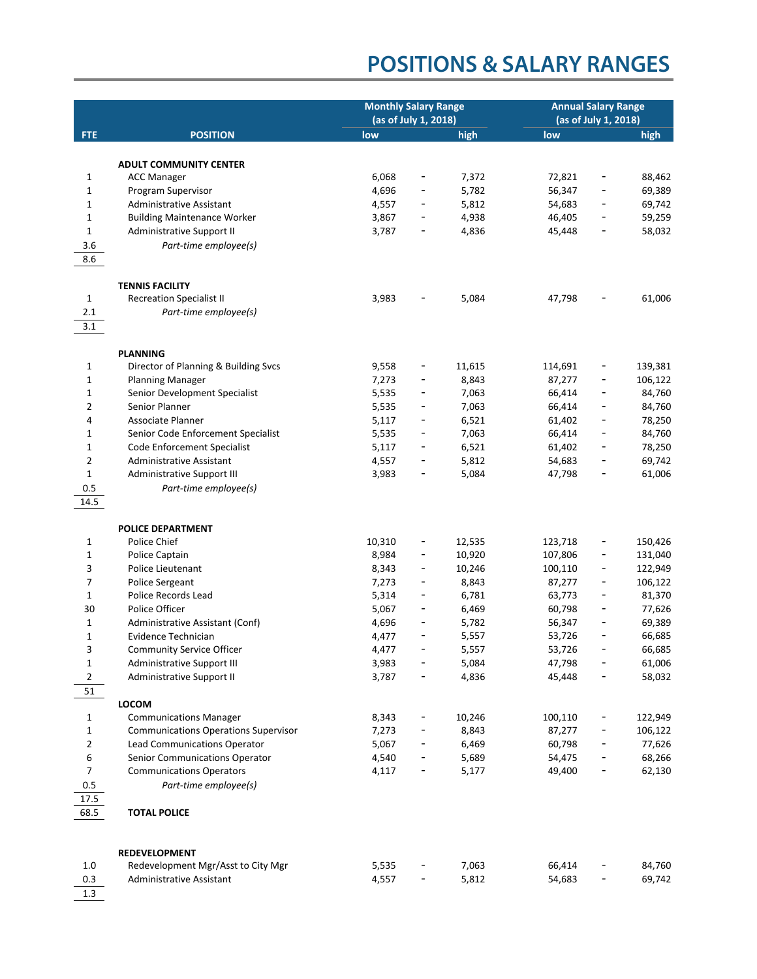|                   |                                                          | <b>Monthly Salary Range</b><br>(as of July 1, 2018) |                                   |                 | <b>Annual Salary Range</b><br>(as of July 1, 2018) |                          |                    |
|-------------------|----------------------------------------------------------|-----------------------------------------------------|-----------------------------------|-----------------|----------------------------------------------------|--------------------------|--------------------|
| <b>FTE</b>        | <b>POSITION</b>                                          | low                                                 |                                   | high            | low                                                |                          | high               |
|                   |                                                          |                                                     |                                   |                 |                                                    |                          |                    |
|                   | <b>ADULT COMMUNITY CENTER</b>                            |                                                     |                                   |                 |                                                    |                          |                    |
| 1                 | <b>ACC Manager</b>                                       | 6,068                                               | -                                 | 7,372           | 72,821                                             |                          | 88,462             |
| $\mathbf 1$       | Program Supervisor                                       | 4,696                                               |                                   | 5,782           | 56,347                                             |                          | 69,389             |
| 1                 | <b>Administrative Assistant</b>                          | 4,557                                               | $\qquad \qquad \blacksquare$      | 5,812           | 54,683                                             | $\overline{\phantom{a}}$ | 69,742             |
| $\mathbf 1$       | <b>Building Maintenance Worker</b>                       | 3,867                                               | -                                 | 4,938           | 46,405                                             |                          | 59,259             |
| $\mathbf 1$       | Administrative Support II                                | 3,787                                               |                                   | 4,836           | 45,448                                             |                          | 58,032             |
| 3.6               | Part-time employee(s)                                    |                                                     |                                   |                 |                                                    |                          |                    |
| 8.6               |                                                          |                                                     |                                   |                 |                                                    |                          |                    |
|                   |                                                          |                                                     |                                   |                 |                                                    |                          |                    |
|                   | <b>TENNIS FACILITY</b>                                   |                                                     |                                   |                 |                                                    |                          |                    |
| $\mathbf{1}$      | <b>Recreation Specialist II</b>                          | 3,983                                               |                                   | 5,084           | 47,798                                             |                          | 61,006             |
| 2.1               | Part-time employee(s)                                    |                                                     |                                   |                 |                                                    |                          |                    |
| 3.1               |                                                          |                                                     |                                   |                 |                                                    |                          |                    |
|                   |                                                          |                                                     |                                   |                 |                                                    |                          |                    |
|                   | <b>PLANNING</b>                                          |                                                     |                                   |                 |                                                    |                          |                    |
| $\mathbf{1}$      | Director of Planning & Building Svcs                     | 9,558<br>7,273                                      | $\qquad \qquad \blacksquare$<br>- | 11,615<br>8,843 | 114,691<br>87,277                                  | -                        | 139,381<br>106,122 |
| $\mathbf 1$<br>1  | <b>Planning Manager</b><br>Senior Development Specialist | 5,535                                               | -                                 | 7,063           | 66,414                                             |                          | 84,760             |
| 2                 | Senior Planner                                           | 5,535                                               | -                                 | 7,063           | 66,414                                             |                          | 84,760             |
| 4                 | Associate Planner                                        | 5,117                                               | -                                 | 6,521           | 61,402                                             | -                        | 78,250             |
| 1                 | Senior Code Enforcement Specialist                       | 5,535                                               | $\qquad \qquad \blacksquare$      | 7,063           | 66,414                                             |                          | 84,760             |
| 1                 | Code Enforcement Specialist                              | 5,117                                               | -                                 | 6,521           | 61,402                                             |                          | 78,250             |
| $\overline{2}$    | <b>Administrative Assistant</b>                          | 4,557                                               | -                                 | 5,812           | 54,683                                             |                          | 69,742             |
| $\mathbf 1$       | Administrative Support III                               | 3,983                                               |                                   | 5,084           | 47,798                                             |                          | 61,006             |
| 0.5               | Part-time employee(s)                                    |                                                     |                                   |                 |                                                    |                          |                    |
| 14.5              |                                                          |                                                     |                                   |                 |                                                    |                          |                    |
|                   |                                                          |                                                     |                                   |                 |                                                    |                          |                    |
|                   | <b>POLICE DEPARTMENT</b>                                 |                                                     |                                   |                 |                                                    |                          |                    |
| 1                 | Police Chief                                             | 10,310                                              | -                                 | 12,535          | 123,718                                            |                          | 150,426            |
| $\mathbf 1$       | Police Captain                                           | 8,984                                               | $\qquad \qquad \blacksquare$      | 10,920          | 107,806                                            | -                        | 131,040            |
| 3                 | Police Lieutenant                                        | 8,343                                               | $\qquad \qquad \blacksquare$      | 10,246          | 100,110                                            | -                        | 122,949            |
| 7                 | Police Sergeant                                          | 7,273                                               | $\overline{\phantom{a}}$          | 8,843           | 87,277                                             | -                        | 106,122            |
| $\mathbf{1}$      | Police Records Lead                                      | 5,314                                               | -                                 | 6,781           | 63,773                                             |                          | 81,370             |
| 30<br>$\mathbf 1$ | Police Officer<br>Administrative Assistant (Conf)        | 5,067<br>4,696                                      | $\overline{\phantom{0}}$          | 6,469           | 60,798                                             |                          | 77,626             |
| 1                 | Evidence Technician                                      | 4,477                                               | $\qquad \qquad \blacksquare$      | 5,782<br>5,557  | 56,347<br>53,726                                   |                          | 69,389<br>66,685   |
| 3                 | Community Service Officer                                | 4,477                                               |                                   | 5,557           | 53,726                                             |                          | 66,685             |
| $\mathbf 1$       | Administrative Support III                               | 3,983                                               |                                   | 5,084           | 47,798                                             |                          | 61,006             |
| $\overline{2}$    | Administrative Support II                                | 3,787                                               |                                   | 4,836           | 45,448                                             |                          | 58,032             |
| 51                |                                                          |                                                     |                                   |                 |                                                    |                          |                    |
|                   | <b>LOCOM</b>                                             |                                                     |                                   |                 |                                                    |                          |                    |
| 1                 | <b>Communications Manager</b>                            | 8,343                                               |                                   | 10,246          | 100,110                                            |                          | 122,949            |
| $\mathbf 1$       | <b>Communications Operations Supervisor</b>              | 7,273                                               |                                   | 8,843           | 87,277                                             |                          | 106,122            |
| 2                 | Lead Communications Operator                             | 5,067                                               |                                   | 6,469           | 60,798                                             |                          | 77,626             |
| 6                 | Senior Communications Operator                           | 4,540                                               |                                   | 5,689           | 54,475                                             |                          | 68,266             |
| $\overline{7}$    | <b>Communications Operators</b>                          | 4,117                                               |                                   | 5,177           | 49,400                                             |                          | 62,130             |
| $0.5\,$           | Part-time employee(s)                                    |                                                     |                                   |                 |                                                    |                          |                    |
| 17.5              |                                                          |                                                     |                                   |                 |                                                    |                          |                    |
| 68.5              | <b>TOTAL POLICE</b>                                      |                                                     |                                   |                 |                                                    |                          |                    |
|                   |                                                          |                                                     |                                   |                 |                                                    |                          |                    |
|                   |                                                          |                                                     |                                   |                 |                                                    |                          |                    |
|                   | <b>REDEVELOPMENT</b>                                     |                                                     |                                   |                 |                                                    |                          |                    |
| 1.0               | Redevelopment Mgr/Asst to City Mgr                       | 5,535                                               |                                   | 7,063           | 66,414                                             |                          | 84,760             |
| 0.3               | Administrative Assistant                                 | 4,557                                               |                                   | 5,812           | 54,683                                             |                          | 69,742             |
| 1.3               |                                                          |                                                     |                                   |                 |                                                    |                          |                    |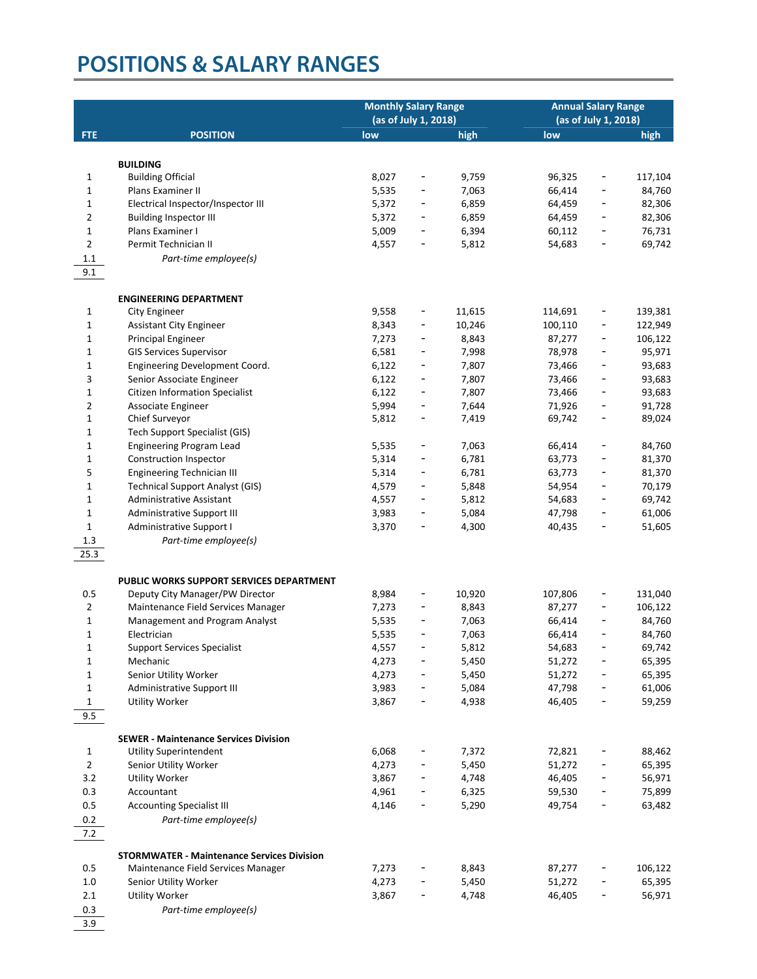|                |                                                   | <b>Monthly Salary Range</b><br>(as of July 1, 2018) |                          |        | <b>Annual Salary Range</b><br>(as of July 1, 2018) |                              |                    |
|----------------|---------------------------------------------------|-----------------------------------------------------|--------------------------|--------|----------------------------------------------------|------------------------------|--------------------|
| <b>FTE</b>     | <b>POSITION</b>                                   | low                                                 |                          | high   | low                                                |                              | high               |
|                |                                                   |                                                     |                          |        |                                                    |                              |                    |
|                | <b>BUILDING</b>                                   |                                                     |                          |        |                                                    |                              |                    |
| 1              | <b>Building Official</b>                          | 8,027                                               | -                        | 9,759  | 96,325                                             | -                            | 117,104            |
| $\mathbf 1$    | Plans Examiner II                                 | 5,535                                               | -                        | 7,063  | 66,414                                             | -                            | 84,760             |
| 1              | Electrical Inspector/Inspector III                | 5,372                                               | -                        | 6,859  | 64,459                                             | $\overline{\phantom{a}}$     | 82,306             |
| 2              | <b>Building Inspector III</b>                     | 5,372                                               | -                        | 6,859  | 64,459                                             | -                            | 82,306             |
| $\mathbf 1$    | Plans Examiner I                                  | 5,009                                               | -                        | 6,394  | 60,112                                             | -                            | 76,731             |
| $\overline{2}$ | Permit Technician II                              | 4,557                                               |                          | 5,812  | 54,683                                             |                              | 69,742             |
| 1.1            | Part-time employee(s)                             |                                                     |                          |        |                                                    |                              |                    |
| 9.1            |                                                   |                                                     |                          |        |                                                    |                              |                    |
|                |                                                   |                                                     |                          |        |                                                    |                              |                    |
|                | <b>ENGINEERING DEPARTMENT</b>                     |                                                     |                          |        |                                                    |                              |                    |
| 1              | <b>City Engineer</b>                              | 9,558                                               | $\overline{a}$           | 11,615 | 114,691                                            | -                            | 139,381            |
| $\mathbf 1$    | Assistant City Engineer                           | 8,343                                               | -                        | 10,246 | 100,110                                            | -                            | 122,949<br>106,122 |
| $\mathbf 1$    | <b>Principal Engineer</b>                         | 7,273                                               | -<br>-                   | 8,843  | 87,277                                             | -                            |                    |
| 1              | <b>GIS Services Supervisor</b>                    | 6,581                                               |                          | 7,998  | 78,978                                             | -                            | 95,971             |
| 1              | Engineering Development Coord.                    | 6,122                                               | -                        | 7,807  | 73,466                                             | -                            | 93,683             |
| 3              | Senior Associate Engineer                         | 6,122                                               | -                        | 7,807  | 73,466                                             |                              | 93,683             |
| $\mathbf 1$    | <b>Citizen Information Specialist</b>             | 6,122                                               | -                        | 7,807  | 73,466                                             | -                            | 93,683             |
| 2              | Associate Engineer                                | 5,994                                               | -                        | 7,644  | 71,926                                             | -                            | 91,728             |
| $\mathbf 1$    | Chief Surveyor                                    | 5,812                                               | $\overline{\phantom{a}}$ | 7,419  | 69,742                                             | $\qquad \qquad \blacksquare$ | 89,024             |
| 1              | <b>Tech Support Specialist (GIS)</b>              |                                                     |                          |        |                                                    |                              |                    |
| 1              | Engineering Program Lead                          | 5,535                                               | $\overline{\phantom{a}}$ | 7,063  | 66,414                                             | -                            | 84,760             |
| $\mathbf 1$    | Construction Inspector                            | 5,314                                               |                          | 6,781  | 63,773                                             |                              | 81,370             |
| 5              | Engineering Technician III                        | 5,314                                               | -                        | 6,781  | 63,773                                             | $\overline{\phantom{0}}$     | 81,370             |
| 1              | <b>Technical Support Analyst (GIS)</b>            | 4,579                                               | -                        | 5,848  | 54,954                                             | -                            | 70,179             |
| $\mathbf 1$    | Administrative Assistant                          | 4,557                                               | -                        | 5,812  | 54,683                                             | $\overline{\phantom{a}}$     | 69,742             |
| $\mathbf 1$    | Administrative Support III                        | 3,983                                               |                          | 5,084  | 47,798                                             | -                            | 61,006             |
| $\mathbf{1}$   | Administrative Support I                          | 3,370                                               |                          | 4,300  | 40,435                                             |                              | 51,605             |
| $1.3$          | Part-time employee(s)                             |                                                     |                          |        |                                                    |                              |                    |
| 25.3           |                                                   |                                                     |                          |        |                                                    |                              |                    |
|                | PUBLIC WORKS SUPPORT SERVICES DEPARTMENT          |                                                     |                          |        |                                                    |                              |                    |
| 0.5            | Deputy City Manager/PW Director                   | 8,984                                               | $\overline{a}$           | 10,920 | 107,806                                            | -                            | 131,040            |
| $\overline{2}$ | Maintenance Field Services Manager                | 7,273                                               | -                        | 8,843  | 87,277                                             | -                            | 106,122            |
| $\mathbf 1$    | Management and Program Analyst                    | 5,535                                               | -                        | 7,063  | 66,414                                             |                              | 84,760             |
| 1              | Electrician                                       | 5,535                                               | -                        | 7,063  | 66,414                                             | -                            | 84,760             |
| 1              | <b>Support Services Specialist</b>                | 4,557                                               |                          | 5,812  | 54,683                                             |                              | 69,742             |
| 1              | Mechanic                                          | 4,273                                               | $\overline{\phantom{a}}$ | 5,450  | 51,272                                             | -                            | 65,395             |
| $\mathbf 1$    | Senior Utility Worker                             | 4,273                                               |                          | 5,450  | 51,272                                             |                              | 65,395             |
| $\mathbf{1}$   | Administrative Support III                        | 3,983                                               | -                        | 5,084  | 47,798                                             |                              | 61,006             |
| $\mathbf{1}$   | Utility Worker                                    | 3,867                                               |                          | 4,938  | 46,405                                             |                              | 59,259             |
| 9.5            |                                                   |                                                     |                          |        |                                                    |                              |                    |
|                |                                                   |                                                     |                          |        |                                                    |                              |                    |
|                | <b>SEWER - Maintenance Services Division</b>      |                                                     |                          |        |                                                    |                              |                    |
| 1              | <b>Utility Superintendent</b>                     | 6,068                                               |                          | 7,372  | 72,821                                             |                              | 88,462             |
| $\overline{2}$ | Senior Utility Worker                             | 4,273                                               |                          | 5,450  | 51,272                                             |                              | 65,395             |
| 3.2            | <b>Utility Worker</b>                             | 3,867                                               |                          | 4,748  | 46,405                                             |                              | 56,971             |
| 0.3            | Accountant                                        | 4,961                                               |                          | 6,325  | 59,530                                             |                              | 75,899             |
| 0.5            | <b>Accounting Specialist III</b>                  | 4,146                                               | -                        | 5,290  | 49,754                                             | -                            | 63,482             |
| 0.2            | Part-time employee(s)                             |                                                     |                          |        |                                                    |                              |                    |
| 7.2            |                                                   |                                                     |                          |        |                                                    |                              |                    |
|                | <b>STORMWATER - Maintenance Services Division</b> |                                                     |                          |        |                                                    |                              |                    |
| 0.5            | Maintenance Field Services Manager                | 7,273                                               |                          | 8,843  | 87,277                                             |                              | 106,122            |
| $1.0\,$        | Senior Utility Worker                             | 4,273                                               |                          | 5,450  | 51,272                                             |                              | 65,395             |
| 2.1            | Utility Worker                                    | 3,867                                               | $\overline{\phantom{a}}$ | 4,748  | 46,405                                             |                              | 56,971             |
| 0.3            | Part-time employee(s)                             |                                                     |                          |        |                                                    |                              |                    |
| 3.9            |                                                   |                                                     |                          |        |                                                    |                              |                    |